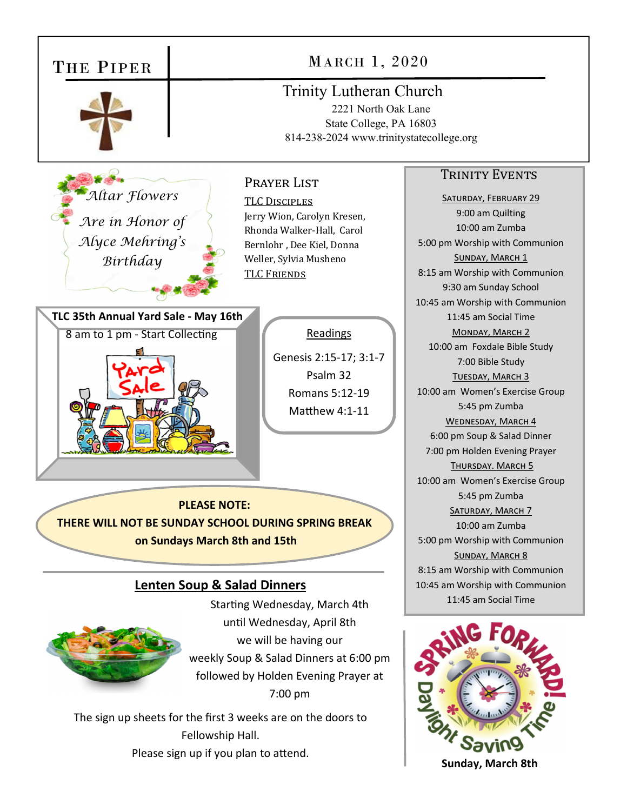| THE PIPER                                                                                                                                                                                                                                                                                          | MARCH 1, 2020                                                                                                                                                                                     |                                                                                                                                                                                                                                                                                                                                                                                                                                              |
|----------------------------------------------------------------------------------------------------------------------------------------------------------------------------------------------------------------------------------------------------------------------------------------------------|---------------------------------------------------------------------------------------------------------------------------------------------------------------------------------------------------|----------------------------------------------------------------------------------------------------------------------------------------------------------------------------------------------------------------------------------------------------------------------------------------------------------------------------------------------------------------------------------------------------------------------------------------------|
|                                                                                                                                                                                                                                                                                                    | <b>Trinity Lutheran Church</b><br>2221 North Oak Lane<br>State College, PA 16803<br>814-238-2024 www.trinitystatecollege.org                                                                      |                                                                                                                                                                                                                                                                                                                                                                                                                                              |
| Altar Flowers<br>Are in Honor of                                                                                                                                                                                                                                                                   | PRAYER LIST<br><b>TLC DISCIPLES</b><br>Jerry Wion, Carolyn Kresen,<br>Rhonda Walker-Hall, Carol                                                                                                   | <b>TRINITY EVENTS</b><br><b>SATURDAY, FEBRUARY 29</b><br>9:00 am Quilting<br>10:00 am Zumba                                                                                                                                                                                                                                                                                                                                                  |
| Alyce Mehring's<br>Birthday                                                                                                                                                                                                                                                                        | Bernlohr, Dee Kiel, Donna<br>Weller, Sylvia Musheno<br><b>TLC FRIENDS</b>                                                                                                                         | 5:00 pm Worship with Communion<br>SUNDAY, MARCH 1<br>8:15 am Worship with Communion<br>9:30 am Sunday School<br>10:45 am Worship with Communion                                                                                                                                                                                                                                                                                              |
| TLC 35th Annual Yard Sale - May 16th<br>8 am to 1 pm - Start Collecting                                                                                                                                                                                                                            | Readings<br>Genesis 2:15-17; 3:1-7<br>Psalm 32<br>Romans 5:12-19<br>Matthew 4:1-11<br><b>PLEASE NOTE:</b><br>THERE WILL NOT BE SUNDAY SCHOOL DURING SPRING BREAK<br>on Sundays March 8th and 15th | 11:45 am Social Time<br>MONDAY, MARCH 2<br>10:00 am Foxdale Bible Study<br>7:00 Bible Study<br>TUESDAY, MARCH 3<br>10:00 am Women's Exercise Group<br>5:45 pm Zumba<br>WEDNESDAY, MARCH 4<br>6:00 pm Soup & Salad Dinner<br>7:00 pm Holden Evening Prayer<br>THURSDAY. MARCH 5<br>10:00 am Women's Exercise Group<br>5:45 pm Zumba<br><b>SATURDAY, MARCH 7</b><br>10:00 am Zumba<br>5:00 pm Worship with Communion<br><b>SUNDAY, MARCH 8</b> |
| <b>Lenten Soup &amp; Salad Dinners</b><br>Starting Wednesday, March 4th                                                                                                                                                                                                                            |                                                                                                                                                                                                   | 8:15 am Worship with Communion<br>10:45 am Worship with Communion<br>11:45 am Social Time                                                                                                                                                                                                                                                                                                                                                    |
| until Wednesday, April 8th<br>we will be having our<br>weekly Soup & Salad Dinners at 6:00 pm<br>followed by Holden Evening Prayer at<br>7:00 pm<br>The sign up sheets for the first 3 weeks are on the doors to<br>Fellowship Hall.<br>Please sign up if you plan to attend.<br>Sunday, March 8th |                                                                                                                                                                                                   |                                                                                                                                                                                                                                                                                                                                                                                                                                              |

**Sunday, March 8th**